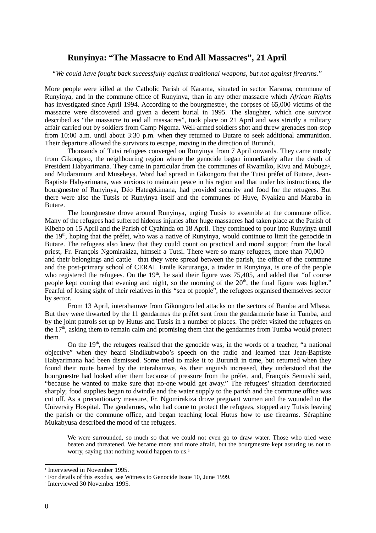## **Runyinya: "The Massacre to End All Massacres", 21 April**

"*We could have fought back successfully against traditional weapons, but not against firearms.*"

More people were killed at the Catholic Parish of Karama, situated in sector Karama, commune of Runyinya, and in the commune office of Runyinya, than in any other massacre which *African Rights* has inv[e](#page-0-0)stigated since April 1994. According to the bourgmestre<sup>1</sup>, the corpses of 65,000 victims of the massacre were discovered and given a decent burial in 1995. The slaughter, which one survivor described as "the massacre to end all massacres", took place on 21 April and was strictly a military affair carried out by soldiers from Camp Ngoma. Well-armed soldiers shot and threw grenades non-stop from 10:00 a.m. until about 3:30 p.m. when they returned to Butare to seek additional ammunition. Their departure allowed the survivors to escape, moving in the direction of Burundi.

Thousands of Tutsi refugees converged on Runyinya from 7 April onwards. They came mostly from Gikongoro, the neighbouring region where the genocide began immediately after the death of President Habyarimana. They came in particular from the communes of Rwamiko, Kivu and Mubuga<sup>[2](#page-0-1)</sup>, and Mudaramura and Musebeya. Word had spread in Gikongoro that the Tutsi préfet of Butare, Jean-Baptiste Habyarimana, was anxious to maintain peace in his region and that under his instructions, the bourgmestre of Runyinya, Déo Hategekimana, had provided security and food for the refugees. But there were also the Tutsis of Runyinya itself and the communes of Huye, Nyakizu and Maraba in Butare.

The bourgmestre drove around Runyinya, urging Tutsis to assemble at the commune office. Many of the refugees had suffered hideous injuries after huge massacres had taken place at the Parish of Kibeho on 15 April and the Parish of Cyahinda on 18 April. They continued to pour into Runyinya until the 19th, hoping that the préfet, who was a native of Runyinya, would continue to limit the genocide in Butare. The refugees also knew that they could count on practical and moral support from the local priest, Fr. François Ngomirakiza, himself a Tutsi. There were so many refugees, more than 70,000 and their belongings and cattle—that they were spread between the parish, the office of the commune and the post-primary school of CERAI. Emile Karuranga, a trader in Runyinya, is one of the people who registered the refugees. On the  $19<sup>th</sup>$ , he said their figure was 75,405, and added that "of course people kept coming that evening and night, so the morning of the  $20<sup>th</sup>$ , the final figure was higher." Fearful of losing sight of their relatives in this "sea of people", the refugees organised themselves sector by sector.

From 13 April, interahamwe from Gikongoro led attacks on the sectors of Ramba and Mbasa. But they were thwarted by the 11 gendarmes the préfet sent from the gendarmerie base in Tumba, and by the joint patrols set up by Hutus and Tutsis in a number of places. The préfet visited the refugees on the  $17<sup>th</sup>$ , asking them to remain calm and promising them that the gendarmes from Tumba would protect them.

On the  $19<sup>th</sup>$ , the refugees realised that the genocide was, in the words of a teacher, "a national objective" when they heard Sindikubwabo's speech on the radio and learned that Jean-Baptiste Habyarimana had been dismissed. Some tried to make it to Burundi in time, but returned when they found their route barred by the interahamwe. As their anguish increased, they understood that the bourgmestre had looked after them because of pressure from the préfet, and, François Semushi said, "because he wanted to make sure that no-one would get away." The refugees' situation deteriorated sharply; food supplies began to dwindle and the water supply to the parish and the commune office was cut off. As a precautionary measure, Fr. Ngomirakiza drove pregnant women and the wounded to the University Hospital. The gendarmes, who had come to protect the refugees, stopped any Tutsis leaving the parish or the commune office, and began teaching local Hutus how to use firearms. Séraphine Mukabyusa described the mood of the refugees.

We were surrounded, so much so that we could not even go to draw water. Those who tried were beaten and threatened. We became more and more afraid, but the bourgmestre kept assuring us not to worry, saying that nothing would happen to us.<sup>[3](#page-0-2)</sup>

<span id="page-0-0"></span><sup>&</sup>lt;sup>1</sup> Interviewed in November 1995.

<span id="page-0-1"></span><sup>2</sup> For details of this exodus, see Witness to Genocide Issue 10, June 1999.

<span id="page-0-2"></span><sup>3</sup> Interviewed 30 November 1995.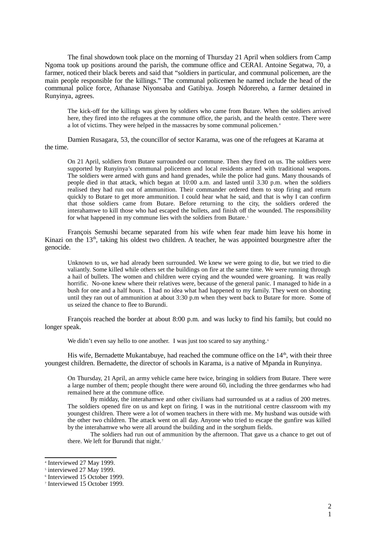The final showdown took place on the morning of Thursday 21 April when soldiers from Camp Ngoma took up positions around the parish, the commune office and CERAI. Antoine Segatwa, 70, a farmer, noticed their black berets and said that "soldiers in particular, and communal policemen, are the main people responsible for the killings." The communal policemen he named include the head of the communal police force, Athanase Niyonsaba and Gatibiya. Joseph Ndorereho, a farmer detained in Runyinya, agrees.

The kick-off for the killings was given by soldiers who came from Butare. When the soldiers arrived here, they fired into the refugees at the commune office, the parish, and the health centre. There were a lot of victims. They were helped in the massacres by some communal policemen.<sup>[4](#page-1-0)</sup>

Damien Rusagara, 53, the councillor of sector Karama, was one of the refugees at Karama at the time.

On 21 April, soldiers from Butare surrounded our commune. Then they fired on us. The soldiers were supported by Runyinya's communal policemen and local residents armed with traditional weapons. The soldiers were armed with guns and hand grenades, while the police had guns. Many thousands of people died in that attack, which began at 10:00 a.m. and lasted until 3.30 p.m. when the soldiers realised they had run out of ammunition. Their commander ordered them to stop firing and return quickly to Butare to get more ammunition. I could hear what he said, and that is why I can confirm that those soldiers came from Butare. Before returning to the city, the soldiers ordered the interahamwe to kill those who had escaped the bullets, and finish off the wounded. The responsibility for what happened in my commune lies with the soldiers from Butare.<sup>[5](#page-1-1)</sup>

François Semushi became separated from his wife when fear made him leave his home in Kinazi on the  $13<sup>th</sup>$ , taking his oldest two children. A teacher, he was appointed bourgmestre after the genocide.

Unknown to us, we had already been surrounded. We knew we were going to die, but we tried to die valiantly. Some killed while others set the buildings on fire at the same time. We were running through a hail of bullets. The women and children were crying and the wounded were groaning. It was really horrific. No-one knew where their relatives were, because of the general panic. I managed to hide in a bush for one and a half hours. I had no idea what had happened to my family. They went on shooting until they ran out of ammunition at about 3:30 p.m when they went back to Butare for more. Some of us seized the chance to flee to Burundi.

François reached the border at about 8:00 p.m. and was lucky to find his family, but could no longer speak.

We didn't even say hello to one another. I was just too scared to say anything.<sup>[6](#page-1-2)</sup>

His wife, Bernadette Mukantabuye, had reached the commune office on the  $14<sup>th</sup>$ , with their three youngest children. Bernadette, the director of schools in Karama, is a native of Mpanda in Runyinya.

On Thursday, 21 April, an army vehicle came here twice, bringing in soldiers from Butare. There were a large number of them; people thought there were around 60, including the three gendarmes who had remained here at the commune office.

By midday, the interahamwe and other civilians had surrounded us at a radius of 200 metres. The soldiers opened fire on us and kept on firing. I was in the nutritional centre classroom with my youngest children. There were a lot of women teachers in there with me. My husband was outside with the other two children. The attack went on all day. Anyone who tried to escape the gunfire was killed by the interahamwe who were all around the building and in the sorghum fields.

The soldiers had run out of ammunition by the afternoon. That gave us a chance to get out of there. We left for Burundi that night.<sup>[7](#page-1-3)</sup>

<span id="page-1-0"></span><sup>4</sup> Interviewed 27 May 1999.

<span id="page-1-1"></span><sup>&</sup>lt;sup>5</sup> interviewed 27 May 1999.

<span id="page-1-2"></span><sup>6</sup> Interviewed 15 October 1999.

<span id="page-1-3"></span><sup>7</sup> Interviewed 15 October 1999.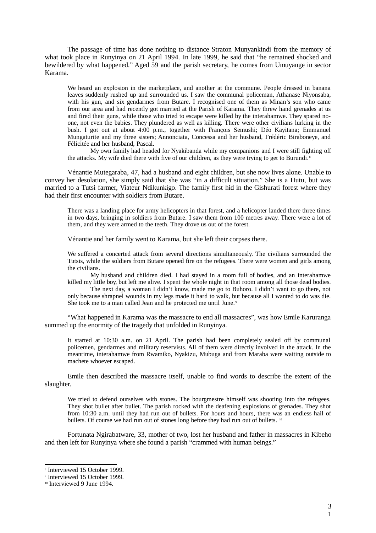The passage of time has done nothing to distance Straton Munyankindi from the memory of what took place in Runyinya on 21 April 1994. In late 1999, he said that "he remained shocked and bewildered by what happened." Aged 59 and the parish secretary, he comes from Umuyange in sector Karama.

We heard an explosion in the marketplace, and another at the commune. People dressed in banana leaves suddenly rushed up and surrounded us. I saw the communal policeman, Athanase Niyonsaba, with his gun, and six gendarmes from Butare. I recognised one of them as Minan's son who came from our area and had recently got married at the Parish of Karama. They threw hand grenades at us and fired their guns, while those who tried to escape were killed by the interahamwe. They spared noone, not even the babies. They plundered as well as killing. There were other civilians lurking in the bush. I got out at about 4:00 p.m., together with François Semushi; Déo Kayitana; Emmanuel Mungaturite and my three sisters; Annonciata, Concessa and her husband, Frédéric Biraboneye, and Félicitée and her husband, Pascal.

My own family had headed for Nyakibanda while my companions and I were still fighting off the attacks. My wife died there with five of our children, as they were trying to get to Burundi.<sup>[8](#page-2-0)</sup>

Vénantie Mutegaraba, 47, had a husband and eight children, but she now lives alone. Unable to convey her desolation, she simply said that she was "in a difficult situation." She is a Hutu, but was married to a Tutsi farmer, Viateur Ndikunkigo. The family first hid in the Gishurati forest where they had their first encounter with soldiers from Butare.

There was a landing place for army helicopters in that forest, and a helicopter landed there three times in two days, bringing in soldiers from Butare. I saw them from 100 metres away. There were a lot of them, and they were armed to the teeth. They drove us out of the forest.

Vénantie and her family went to Karama, but she left their corpses there.

We suffered a concerted attack from several directions simultaneously. The civilians surrounded the Tutsis, while the soldiers from Butare opened fire on the refugees. There were women and girls among the civilians.

My husband and children died. I had stayed in a room full of bodies, and an interahamwe killed my little boy, but left me alive. I spent the whole night in that room among all those dead bodies.

The next day, a woman I didn't know, made me go to Buhoro. I didn't want to go there, not only because shrapnel wounds in my legs made it hard to walk, but because all I wanted to do was die. She took me to a man called Jean and he protected me until June.<sup>[9](#page-2-1)</sup>

"What happened in Karama was the massacre to end all massacres", was how Emile Karuranga summed up the enormity of the tragedy that unfolded in Runyinya.

It started at 10:30 a.m. on 21 April. The parish had been completely sealed off by communal policemen, gendarmes and military reservists. All of them were directly involved in the attack. In the meantime, interahamwe from Rwamiko, Nyakizu, Mubuga and from Maraba were waiting outside to machete whoever escaped.

Emile then described the massacre itself, unable to find words to describe the extent of the slaughter.

We tried to defend ourselves with stones. The bourgmestre himself was shooting into the refugees. They shot bullet after bullet. The parish rocked with the deafening explosions of grenades. They shot from 10:30 a.m. until they had run out of bullets. For hours and hours, there was an endless hail of bullets. Of course we had run out of stones long before they had run out of bullets. <sup>[10](#page-2-2)</sup>

Fortunata Ngirabatware, 33, mother of two, lost her husband and father in massacres in Kibeho and then left for Runyinya where she found a parish "crammed with human beings."

<span id="page-2-0"></span><sup>8</sup> Interviewed 15 October 1999.

<span id="page-2-1"></span><sup>9</sup> Interviewed 15 October 1999.

<span id="page-2-2"></span><sup>&</sup>lt;sup>10</sup> Interviewed 9 June 1994.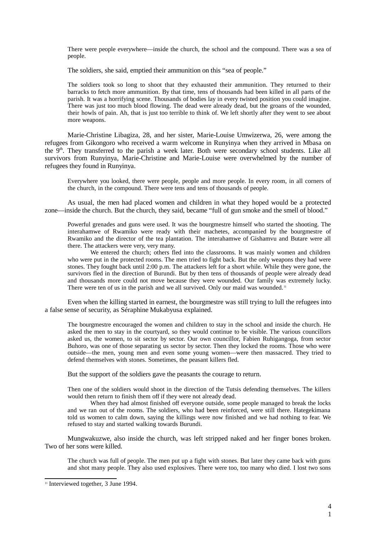There were people everywhere—inside the church, the school and the compound. There was a sea of people.

The soldiers, she said, emptied their ammunition on this "sea of people."

The soldiers took so long to shoot that they exhausted their ammunition. They returned to their barracks to fetch more ammunition. By that time, tens of thousands had been killed in all parts of the parish. It was a horrifying scene. Thousands of bodies lay in every twisted position you could imagine. There was just too much blood flowing. The dead were already dead, but the groans of the wounded, their howls of pain. Ah, that is just too terrible to think of. We left shortly after they went to see about more weapons.

Marie-Christine Libagiza, 28, and her sister, Marie-Louise Umwizerwa, 26, were among the refugees from Gikongoro who received a warm welcome in Runyinya when they arrived in Mbasa on the  $9<sup>th</sup>$ . They transferred to the parish a week later. Both were secondary school students. Like all survivors from Runyinya, Marie-Christine and Marie-Louise were overwhelmed by the number of refugees they found in Runyinya.

Everywhere you looked, there were people, people and more people. In every room, in all corners of the church, in the compound. There were tens and tens of thousands of people.

As usual, the men had placed women and children in what they hoped would be a protected zone—inside the church. But the church, they said, became "full of gun smoke and the smell of blood."

Powerful grenades and guns were used. It was the bourgmestre himself who started the shooting. The interahamwe of Rwamiko were ready with their machetes, accompanied by the bourgmestre of Rwamiko and the director of the tea plantation. The interahamwe of Gishamvu and Butare were all there. The attackers were very, very many.

We entered the church; others fled into the classrooms. It was mainly women and children who were put in the protected rooms. The men tried to fight back. But the only weapons they had were stones. They fought back until 2:00 p.m. The attackers left for a short while. While they were gone, the survivors fled in the direction of Burundi. But by then tens of thousands of people were already dead and thousands more could not move because they were wounded. Our family was extremely lucky. There were ten of us in the parish and we all survived. Only our maid was wounded.<sup>[11](#page-3-0)</sup>

Even when the killing started in earnest, the bourgmestre was still trying to lull the refugees into a false sense of security, as Séraphine Mukabyusa explained.

The bourgmestre encouraged the women and children to stay in the school and inside the church. He asked the men to stay in the courtyard, so they would continue to be visible. The various councillors asked us, the women, to sit sector by sector. Our own councillor, Fabien Ruhigangoga, from sector Buhoro, was one of those separating us sector by sector. Then they locked the rooms. Those who were outside—the men, young men and even some young women—were then massacred. They tried to defend themselves with stones. Sometimes, the peasant killers fled.

But the support of the soldiers gave the peasants the courage to return.

Then one of the soldiers would shoot in the direction of the Tutsis defending themselves. The killers would then return to finish them off if they were not already dead.

When they had almost finished off everyone outside, some people managed to break the locks and we ran out of the rooms. The soldiers, who had been reinforced, were still there. Hategekimana told us women to calm down, saying the killings were now finished and we had nothing to fear. We refused to stay and started walking towards Burundi.

Mungwakuzwe, also inside the church, was left stripped naked and her finger bones broken. Two of her sons were killed.

The church was full of people. The men put up a fight with stones. But later they came back with guns and shot many people. They also used explosives. There were too, too many who died. I lost two sons

<span id="page-3-0"></span><sup>&</sup>lt;sup>11</sup> Interviewed together, 3 June 1994.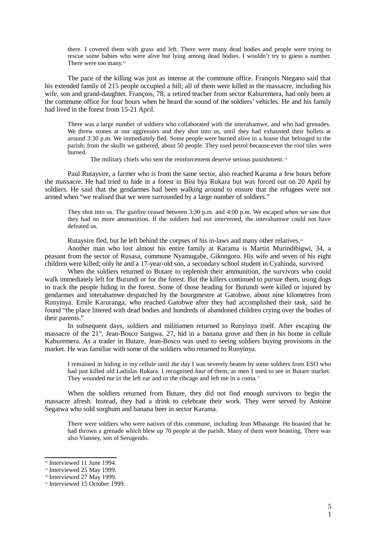there. I covered them with grass and left. There were many dead bodies and people were trying to rescue some babies who were alive but lying among dead bodies. I wouldn't try to guess a number. There were too many. $12$ 

The pace of the killing was just as intense at the commune office. François Ntegano said that his extended family of 215 people occupied a hill; all of them were killed in the massacre, including his wife, son and grand-daughter. François, 78, a retired teacher from sector Kaburemera, had only been at the commune office for four hours when he heard the sound of the soldiers' vehicles. He and his family had lived in the forest from 15-21 April.

There was a large number of soldiers who collaborated with the interahamwe, and who had grenades. We threw stones at our aggressors and they shot into us, until they had exhausted their bullets at around 3:30 p.m. We immediately fled. Some people were burned alive in a house that belonged to the parish; from the skulls we gathered, about 50 people. They used petrol because even the roof tiles were burned.

The military chiefs who sent the reinforcement deserve serious punishment.<sup>[13](#page-4-1)</sup>

Paul Rutaysire, a farmer who is from the same sector, also reached Karama a few hours before the massacre. He had tried to hide in a forest in Bisi bya Rukara but was forced out on 20 April by soldiers. He said that the gendarmes had been walking around to ensure that the refugees were not armed when "we realised that we were surrounded by a large number of soldiers."

They shot into us. The gunfire ceased between 3:30 p.m. and 4:00 p.m. We escaped when we saw that they had no more ammunition. If the soldiers had not intervened, the interahamwe could not have defeated us.

Rutaysire fled, but he left behind the corpses of his in-laws and many other relatives.<sup>[14](#page-4-2)</sup>

 Another man who lost almost his entire family at Karama is Martin Murindibigwi, 34, a peasant from the sector of Rusasa, commune Nyamugabe, Gikongoro. His wife and seven of his eight children were killed; only he and a 17-year-old son, a secondary school student in Cyahinda, survived.

When the soldiers returned to Butare to replenish their ammunition, the survivors who could walk immediately left for Burundi or for the forest. But the killers continued to pursue them, using dogs to track the people hiding in the forest. Some of those heading for Burundi were killed or injured by gendarmes and interahamwe despatched by the bourgmestre at Gatobwe, about nine kilometres from Runyinya. Emile Karuranga, who reached Gatobwe after they had accomplished their task, said he found "the place littered with dead bodies and hundreds of abandoned children crying over the bodies of their parents."

In subsequent days, soldiers and militiamen returned to Runyinya itself. After escaping the massacre of the 21<sup>st</sup>, Jean-Bosco Sangwa, 27, hid in a banana grove and then in his home in cellule Kaburemera. As a trader in Butare, Jean-Bosco was used to seeing soldiers buying provisions in the market. He was familiar with some of the soldiers who returned to Runyinya.

I remained in hiding in my cellule until the day I was severely beaten by some soldiers from ESO who had just killed old Ladislas Rukara. I recognised four of them, as men I used to see in Butare market. They wounded me in the left ear and in the ribcage and left me in a coma.<sup>[15](#page-4-3)</sup>

When the soldiers returned from Butare, they did not find enough survivors to begin the massacre afresh. Instead, they had a drink to celebrate their work. They were served by Antoine Segatwa who sold sorghum and banana beer in sector Karama.

There were soldiers who were natives of this commune, including Jean Mbasange. He boasted that he had thrown a grenade which blew up 70 people at the parish. Many of them were boasting. There was also Vianney, son of Serugendo.

<span id="page-4-0"></span><sup>&</sup>lt;sup>12</sup> Interviewed 11 June 1994.

<span id="page-4-1"></span><sup>&</sup>lt;sup>13</sup> Interviewed 25 May 1999.

<span id="page-4-2"></span><sup>&</sup>lt;sup>14</sup> Interviewed 27 May 1999.

<span id="page-4-3"></span><sup>&</sup>lt;sup>15</sup> Interviewed 15 October 1999.